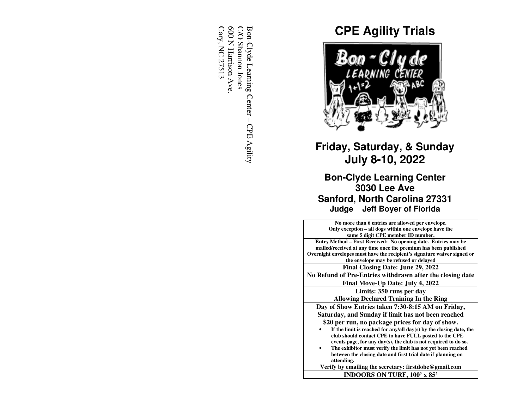600 N Harrison Ave<br>Cary, NC 27513 Cary, NC 27513 600 N Harrison Ave. C/O Shannon Jones C/O Shannon Jones Bon-Clyde Learning Center – CPE Agility Bon-Clyde Learning Center – CPE Agility

# **CPE Agility Trials**



# **Friday, Saturday, & Sunday July 8-10, 2022**

**Bon-Clyde Learning Center 3030 Lee Ave Sanford, North Carolina 27331Judge Jeff Boyer of Florida** 

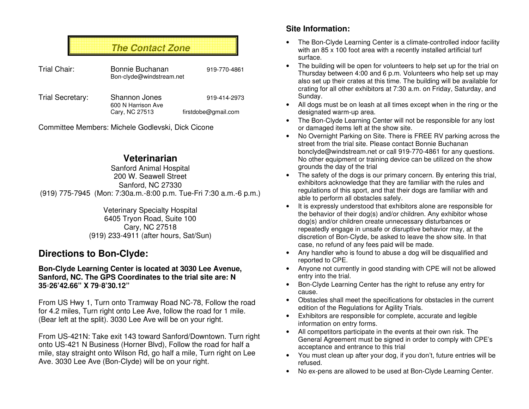# **The Contact Zone**

| Trial Chair:     | Bonnie Buchanan<br>Bon-clyde@windstream.net |                     |
|------------------|---------------------------------------------|---------------------|
| Trial Secretary: | <b>Shannon Jones</b><br>600 N Harrison Ave  | 919-414-2973        |
|                  | Cary, NC 27513                              | firstdobe@gmail.com |

Committee Members: Michele Godlevski, Dick Cicone

## **Veterinarian**

 Sanford Animal Hospital 200 W. Seawell Street Sanford, NC 27330 (919) 775-7945 (Mon: 7:30a.m.-8:00 p.m. Tue-Fri 7:30 a.m.-6 p.m.)

> Veterinary Specialty Hospital 6405 Tryon Road, Suite 100 Cary, NC 27518 (919) 233-4911 (after hours, Sat/Sun)

## **Directions to Bon-Clyde:**

### **Bon-Clyde Learning Center is located at 3030 Lee Avenue, Sanford, NC. The GPS Coordinates to the trial site are: N 35◦26'42.66" X 79◦8'30.12"**

From US Hwy 1, Turn onto Tramway Road NC-78, Follow the road for 4.2 miles. Turn right onto Lee Ave, follow the road for 1 mile. (Bear left at the split). 3030 Lee Ave will be on your right.

From US-421N: Take exit 143 toward Sanford/Downtown. Turn right onto US-421 N Business (Horner Blvd), Follow the road for half a mile, stay straight onto Wilson Rd, go half a mile, Turn right on Lee Ave. 3030 Lee Ave (Bon-Clyde) will be on your right.

### **Site Information:**

- The Bon-Clyde Learning Center is a climate-controlled indoor facility with an 85 x 100 foot area with a recently installed artificial turf surface.
- The building will be open for volunteers to help set up for the trial on Thursday between 4:00 and 6 p.m. Volunteers who help set up may also set up their crates at this time. The building will be available for crating for all other exhibitors at 7:30 a.m. on Friday, Saturday, and Sunday.
- All dogs must be on leash at all times except when in the ring or the designated warm-up area.
- The Bon-Clyde Learning Center will not be responsible for any lost or damaged items left at the show site.
- No Overnight Parking on Site. There is FREE RV parking across the street from the trial site. Please contact Bonnie Buchanan bonclyde@windstream.net or call 919-770-4861 for any questions. No other equipment or training device can be utilized on the show grounds the day of the trial
- The safety of the dogs is our primary concern. By entering this trial, exhibitors acknowledge that they are familiar with the rules and regulations of this sport, and that their dogs are familiar with and able to perform all obstacles safely.
- It is expressly understood that exhibitors alone are responsible for the behavior of their dog(s) and/or children. Any exhibitor whose dog(s) and/or children create unnecessary disturbances or repeatedly engage in unsafe or disruptive behavior may, at the discretion of Bon-Clyde, be asked to leave the show site. In that case, no refund of any fees paid will be made.
- Any handler who is found to abuse a dog will be disqualified and reported to CPE.
- Anyone not currently in good standing with CPE will not be allowed entry into the trial.
- Bon-Clyde Learning Center has the right to refuse any entry for cause.
- Obstacles shall meet the specifications for obstacles in the current edition of the Regulations for Agility Trials.
- Exhibitors are responsible for complete, accurate and legible information on entry forms.
- All competitors participate in the events at their own risk. The General Agreement must be signed in order to comply with CPE's acceptance and entrance to this trial
- You must clean up after your dog, if you don't, future entries will be refused.
- No ex-pens are allowed to be used at Bon-Clyde Learning Center.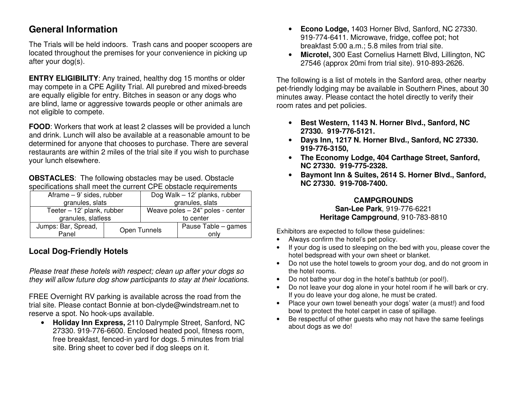## **General Information**

The Trials will be held indoors. Trash cans and pooper scoopers are located throughout the premises for your convenience in picking up after your dog(s).

**ENTRY ELIGIBILITY:** Any trained, healthy dog 15 months or older may compete in a CPE Agility Trial. All purebred and mixed-breeds are equally eligible for entry. Bitches in season or any dogs who are blind, lame or aggressive towards people or other animals are not eligible to compete.

**FOOD:** Workers that work at least 2 classes will be provided a lunch and drink. Lunch will also be available at a reasonable amount to be determined for anyone that chooses to purchase. There are several restaurants are within 2 miles of the trial site if you wish to purchase your lunch elsewhere.

**OBSTACLES**: The following obstacles may be used. Obstacle specifications shall meet the current CPE obstacle requirements

| Aframe $-9'$ sides, rubber |  | Dog Walk - 12' planks, rubber      |                     |  |  |
|----------------------------|--|------------------------------------|---------------------|--|--|
| granules, slats            |  | granules, slats                    |                     |  |  |
| Teeter - 12' plank, rubber |  | Weave poles $-24$ " poles - center |                     |  |  |
| granules, slatless         |  | to center                          |                     |  |  |
| Jumps: Bar, Spread,        |  | Open Tunnels                       | Pause Table - games |  |  |
| Panel                      |  |                                    | only                |  |  |

### **Local Dog-Friendly Hotels**

Please treat these hotels with respect; clean up after your dogs so they will allow future dog show participants to stay at their locations.

FREE Overnight RV parking is available across the road from the trial site. Please contact Bonnie at bon-clyde@windstream.net to reserve a spot. No hook-ups available.

 • **Holiday Inn Express,** 2110 Dalrymple Street, Sanford, NC 27330. 919-776-6600. Enclosed heated pool, fitness room, free breakfast, fenced-in yard for dogs. 5 minutes from trial site. Bring sheet to cover bed if dog sleeps on it.

- • **Econo Lodge,** 1403 Horner Blvd, Sanford, NC 27330. 919-774-6411. Microwave, fridge, coffee pot; hot breakfast 5:00 a.m.; 5.8 miles from trial site.
- **Microtel,** 300 East Cornelius Harnett Blvd, Lillington, NC 27546 (approx 20mi from trial site). 910-893-2626.

The following is a list of motels in the Sanford area, other nearby pet-friendly lodging may be available in Southern Pines, about 30 minutes away. Please contact the hotel directly to verify their room rates and pet policies.

- • **Best Western, 1143 N. Horner Blvd., Sanford, NC 27330. 919-776-5121.**
- **Days Inn, 1217 N. Horner Blvd., Sanford, NC 27330. 919-776-3150,**
- **The Economy Lodge, 404 Carthage Street, Sanford, NC 27330. 919-775-2328.**
- **Baymont Inn & Suites, 2614 S. Horner Blvd., Sanford, NC 27330. 919-708-7400.**

### **CAMPGROUNDS San-Lee Park**, 919-776-6221 **Heritage Campground**, 910-783-8810

Exhibitors are expected to follow these guidelines:

- Always confirm the hotel's pet policy.
- If your dog is used to sleeping on the bed with you, please cover the hotel bedspread with your own sheet or blanket.
- Do not use the hotel towels to groom your dog, and do not groom in the hotel rooms.
- Do not bathe your dog in the hotel's bathtub (or pool!).
- Do not leave your dog alone in your hotel room if he will bark or cry. If you do leave your dog alone, he must be crated.
- Place your own towel beneath your dogs' water (a must!) and food bowl to protect the hotel carpet in case of spillage.
- Be respectful of other guests who may not have the same feelings about dogs as we do!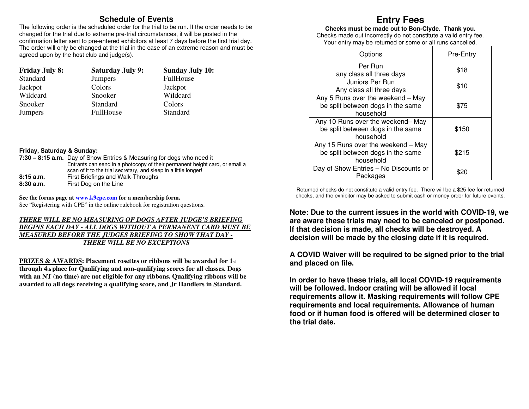### **Schedule of Events**

 The following order is the scheduled order for the trial to be run. If the order needs to be changed for the trial due to extreme pre-trial circumstances, it will be posted in the confirmation letter sent to pre-entered exhibitors at least 7 days before the first trial day. The order will only be changed at the trial in the case of an extreme reason and must be agreed upon by the host club and judge(s).

| <b>Friday July 8:</b> | <b>Saturday July 9:</b> | <b>Sunday July 10:</b> |
|-----------------------|-------------------------|------------------------|
| Standard              | <b>Jumpers</b>          | <b>FullHouse</b>       |
| Jackpot               | Colors                  | Jackpot                |
| Wildcard              | Snooker                 | Wildcard               |
| Snooker               | Standard                | Colors                 |
| <b>Jumpers</b>        | <b>FullHouse</b>        | Standard               |

### **Friday, Saturday & Sunday:**

|           | 7:30 – 8:15 a.m. Day of Show Entries & Measuring for dogs who need it       |
|-----------|-----------------------------------------------------------------------------|
|           | Entrants can send in a photocopy of their permanent height card, or email a |
|           | scan of it to the trial secretary, and sleep in a little longer!            |
| 8:15a.m.  | First Briefings and Walk-Throughs                                           |
| 8:30 a.m. | First Dog on the Line                                                       |

**See the forms page at www.k9cpe.com for a membership form.** See "Registering with CPE" in the online rulebook for registration questions.

### *THERE WILL BE NO MEASURING OF DOGS AFTER JUDGE'S BRIEFING BEGINS EACH DAY - ALL DOGS WITHOUT A PERMANENT CARD MUST BE MEASURED BEFORE THE JUDGES BRIEFING TO SHOW THAT DAY - THERE WILL BE NO EXCEPTIONS*

**PRIZES & AWARDS: Placement rosettes or ribbons will be awarded for 1st through 4th place for Qualifying and non-qualifying scores for all classes. Dogs with an NT (no time) are not eligible for any ribbons. Qualifying ribbons will be awarded to all dogs receiving a qualifying score, and Jr Handlers in Standard.**

## **Entry Fees**

**Checks must be made out to Bon-Clyde. Thank you.** 

 Checks made out incorrectly do not constitute a valid entry fee. Your entry may be returned or some or all runs cancelled.

| Options                                                                              | Pre-Entry |
|--------------------------------------------------------------------------------------|-----------|
| Per Run<br>any class all three days                                                  | \$18      |
| Juniors Per Run<br>Any class all three days                                          | \$10      |
| Any 5 Runs over the weekend - May<br>be split between dogs in the same<br>household  | \$75      |
| Any 10 Runs over the weekend-May<br>be split between dogs in the same<br>household   | \$150     |
| Any 15 Runs over the weekend - May<br>be split between dogs in the same<br>household | \$215     |
| Day of Show Entries - No Discounts or<br>Packages                                    |           |

Returned checks do not constitute a valid entry fee. There will be a \$25 fee for returned checks, and the exhibitor may be asked to submit cash or money order for future events.

**Note: Due to the current issues in the world with COVID-19, we are aware these trials may need to be canceled or postponed. If that decision is made, all checks will be destroyed. A decision will be made by the closing date if it is required.** 

**A COVID Waiver will be required to be signed prior to the trial and placed on file.** 

**In order to have these trials, all local COVID-19 requirements will be followed. Indoor crating will be allowed if local requirements allow it. Masking requirements will follow CPE requirements and local requirements. Allowance of human food or if human food is offered will be determined closer to the trial date.**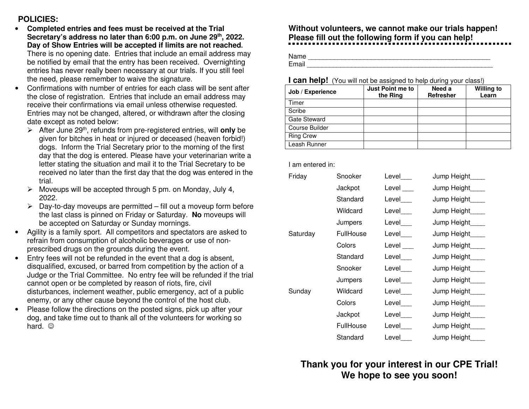### **POLICIES:**

- **Completed entries and fees must be received at the Trial**  •**Secretary's address no later than 6:00 p.m. on June 29th, 2022. Day of Show Entries will be accepted if limits are not reached.** There is no opening date. Entries that include an email address may be notified by email that the entry has been received. Overnighting entries has never really been necessary at our trials. If you still feel the need, please remember to waive the signature.
- Confirmations with number of entries for each class will be sent after the close of registration. Entries that include an email address may receive their confirmations via email unless otherwise requested. Entries may not be changed, altered, or withdrawn after the closing date except as noted below:
	- > After June 29<sup>th</sup>, refunds from pre-registered entries, will **only** be given for bitches in heat or injured or deceased (heaven forbid!) dogs. Inform the Trial Secretary prior to the morning of the first day that the dog is entered. Please have your veterinarian write a letter stating the situation and mail it to the Trial Secretary to be received no later than the first day that the dog was entered in the trial.
	- $\triangleright$  Moveups will be accepted through 5 pm. on Monday, July 4, 2022.
	- $\triangleright$  Day-to-day moveups are permitted fill out a moveup form before the last class is pinned on Friday or Saturday. **No** moveups will be accepted on Saturday or Sunday mornings.
- Agility is a family sport. All competitors and spectators are asked to refrain from consumption of alcoholic beverages or use of nonprescribed drugs on the grounds during the event.
- Entry fees will not be refunded in the event that a dog is absent, disqualified, excused, or barred from competition by the action of a Judge or the Trial Committee. No entry fee will be refunded if the trial cannot open or be completed by reason of riots, fire, civil disturbances, inclement weather, public emergency, act of a public enemy, or any other cause beyond the control of the host club.
- Please follow the directions on the posted signs, pick up after your dog, and take time out to thank all of the volunteers for working so hard. ©

# **Without volunteers, we cannot make our trials happen! Please fill out the following form if you can help!**

Name \_\_\_\_\_\_\_\_\_\_\_\_\_\_\_\_\_\_\_\_\_\_\_\_\_\_\_\_\_\_\_\_\_\_\_\_\_\_\_\_\_\_\_\_\_\_\_\_\_ Email **Email Email Exercise Email** 

### **I can help!** (You will not be assigned to help during your class!)

| Job / Experience    | Just Point me to<br>the Ring | Need a<br><b>Refresher</b> | <b>Willing to</b><br>Learn |
|---------------------|------------------------------|----------------------------|----------------------------|
| Timer               |                              |                            |                            |
| Scribe              |                              |                            |                            |
| <b>Gate Steward</b> |                              |                            |                            |
| Course Builder      |                              |                            |                            |
| <b>Ring Crew</b>    |                              |                            |                            |
| Leash Runner        |                              |                            |                            |

I am entered in:

| Friday   | Snooker   | Level | Jump Height     |
|----------|-----------|-------|-----------------|
|          | Jackpot   | Level | Jump Height____ |
|          | Standard  | Level | Jump Height     |
|          | Wildcard  | Level | Jump Height____ |
|          | Jumpers   | Level | Jump Height     |
| Saturday | FullHouse | Level | Jump Height____ |
|          | Colors    | Level | Jump Height     |
|          | Standard  | Level | Jump Height     |
|          | Snooker   | Level | Jump Height     |
|          | Jumpers   | Level | Jump Height     |
| Sunday   | Wildcard  | Level | Jump Height     |
|          | Colors    | Level | Jump Height     |
|          | Jackpot   | Level | Jump Height     |
|          | FullHouse | Level | Jump Height     |
|          | Standard  | Level | Jump Height     |

**Thank you for your interest in our CPE Trial! We hope to see you soon!**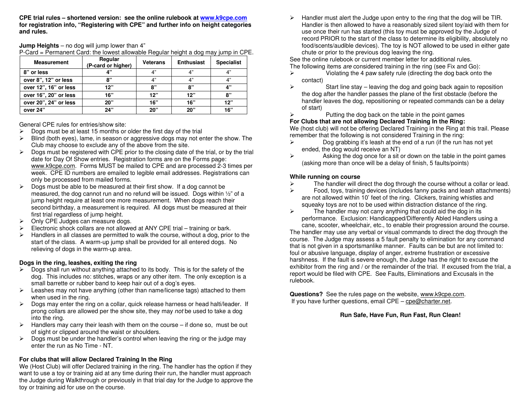**CPE trial rules – shortened version: see the online rulebook at www.k9cpe.com for registration info, "Registering with CPE" and further info on height categories and rules.**

#### **Jump Heights** – no dog will jump lower than 4"

P-Card = Permanent Card: the lowest allowable Regular height a dog may jump in CPE.

| <b>Measurement</b>    | Regular<br>(P-card or higher) | <b>Veterans</b> | <b>Enthusiast</b> | <b>Specialist</b> |
|-----------------------|-------------------------------|-----------------|-------------------|-------------------|
| 8" or less            |                               | 4"              | 4"                | 4"                |
| over 8", 12" or less  | 8"                            | 4"              | 4"                | 4"                |
| over 12", 16" or less | 12"                           | 8"              | 8"                | 4"                |
| over 16", 20" or less | 16"                           | 12"             | 12"               | 8"                |
| over 20", 24" or less | 20"                           | 16"             | 16"               | 12"               |
| over 24"              | 24"                           | 20"             | 20"               | 16"               |

General CPE rules for entries/show site:

- $\triangleright$  Dogs must be at least 15 months or older the first day of the trial
- $\triangleright$  Blind (both eyes), lame, in season or aggressive dogs may not enter the show. The Club may choose to exclude any of the above from the site.
- $\triangleright$  Dogs must be registered with CPE prior to the closing date of the trial, or by the trial date for Day Of Show entries. Registration forms are on the Forms page: www.k9cpe.com. Forms MUST be mailed to CPE and are processed 2-3 times per week. CPE ID numbers are emailed to legible email addresses. Registrations can only be processed from mailed forms.
- $\triangleright$  Dogs must be able to be measured at their first show. If a dog cannot be measured, the dog cannot run and no refund will be issued. Dogs within ½" of a jump height require at least one more measurement. When dogs reach their second birthday, a measurement is required. All dogs must be measured at their first trial regardless of jump height.
- > Only CPE Judges can measure dogs.
- $\triangleright$  Electronic shock collars are not allowed at ANY CPE trial training or bark.
- $\triangleright$  Handlers in all classes are permitted to walk the course, without a dog, prior to the start of the class. A warm-up jump shall be provided for all entered dogs. No relieving of dogs in the warm-up area.

#### **Dogs in the ring, leashes, exiting the ring**

- $\triangleright$  Dogs shall run without anything attached to its body. This is for the safety of the dog. This includes no: stitches, wraps or any other item. The only exception is a small barrette or rubber band to keep hair out of a dog's eyes.
- Eeashes may not have anything (other than name/license tags) attached to them when used in the ring.
- $\triangleright$  Dogs may enter the ring on a collar, quick release harness or head halti/leader. If prong collars are allowed per the show site, they may not be used to take a dog into the ring.
- $\triangleright$  Handlers may carry their leash with them on the course  $-$  if done so, must be out of sight or clipped around the waist or shoulders.
- $\triangleright$  Dogs must be under the handler's control when leaving the ring or the judge may enter the run as No Time - NT.

#### **For clubs that will allow Declared Training In the Ring**

 We (Host Club) will offer Declared training in the ring. The handler has the option if they want to use a toy or training aid at any time during their run, the handler must approach the Judge during Walkthrough or previously in that trial day for the Judge to approve the toy or training aid for use on the course.

 Handler must alert the Judge upon entry to the ring that the dog will be TIR. Handler is then allowed to have a reasonably sized silent toy/aid with them for use once their run has started (this toy must be approved by the Judge of record PRIOR to the start of the class to determine its eligibility, absolutely no food/scents/audible devices). The toy is NOT allowed to be used in either gate chute or prior to the previous dog leaving the ring.

See the online rulebook or current member letter for additional rules.

- The following items are considered training in the ring (see Fix and Go):
- $\triangleright$  Violating the 4 paw safety rule (directing the dog back onto the contact)
- $\triangleright$  Start line stay leaving the dog and going back again to reposition the dog after the handler passes the plane of the first obstacle (before the handler leaves the dog, repositioning or repeated commands can be a delay of start)
- $\triangleright$  Putting the dog back on the table in the point games

### **For Clubs that are not allowing Declared Training In the Ring:**

 We (host club) will not be offering Declared Training in the Ring at this trail. Please remember that the following is not considered Training in the ring:

- $\triangleright$  Dog grabbing it's leash at the end of a run (if the run has not yet ended, the dog would receive an NT)
- $\triangleright$  Asking the dog once for a sit or down on the table in the point games (asking more than once will be a delay of finish, 5 faults/points)

#### **While running on course**

- $\triangleright$  The handler will direct the dog through the course without a collar or lead.
- $\triangleright$  Food, toys, training devices (includes fanny packs and leash attachments) are not allowed within 10' feet of the ring. Clickers, training whistles and squeaky toys are not to be used within distraction distance of the ring.
- $\triangleright$  The handler may not carry anything that could aid the dog in its performance. Exclusion: Handicapped/Differently Abled Handlers using a cane, scooter, wheelchair, etc., to enable their progression around the course.

 The handler may use any verbal or visual commands to direct the dog through the course. The Judge may assess a 5 fault penalty to elimination for any command that is not given in a sportsmanlike manner. Faults can be but are not limited to: foul or abusive language, display of anger, extreme frustration or excessive harshness. If the fault is severe enough, the Judge has the right to excuse the exhibitor from the ring and / or the remainder of the trial. If excused from the trial, a report would be filed with CPE. See Faults, Eliminations and Excusals in the rulebook.

**Questions?** See the rules page on the website, www.k9cpe.com.If you have further questions, email CPE – cpe@charter.net.

#### **Run Safe, Have Fun, Run Fast, Run Clean!**